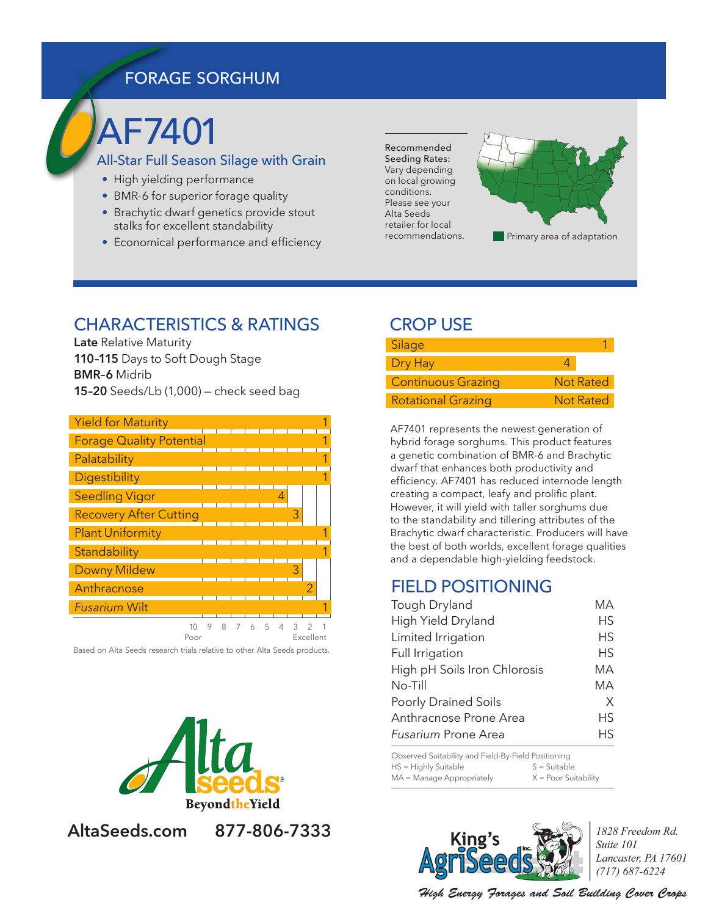## FORAGE SORGHUM

# AF7401

#### All-Star Full Season Silage with Grain

- High yielding performance
- BMR-6 for superior forage quality
- Brachytic dwarf genetics provide stout stalks for excellent standability
- Economical performance and efficiency

Recommended Seeding Rates: Vary depending on local growing conditions. Please see your Alta Seeds retailer for local recommendations.



#### CHARACTERISTICS & RATINGS

**Late** Relative Maturity **110–115** Days to Soft Dough Stage **BMR–6** Midrib **15–20** Seeds/Lb (1,000) — check seed bag

| <b>Yield for Maturity</b>       |  |  |   |   |  |
|---------------------------------|--|--|---|---|--|
| <b>Forage Quality Potential</b> |  |  |   |   |  |
| Palatability                    |  |  |   |   |  |
| Digestibility                   |  |  |   |   |  |
| <b>Seedling Vigor</b>           |  |  |   |   |  |
| <b>Recovery After Cutting</b>   |  |  |   | З |  |
| <b>Plant Uniformity</b>         |  |  |   |   |  |
| Standability                    |  |  |   |   |  |
| <b>Downy Mildew</b>             |  |  |   | 3 |  |
| Anthracnose                     |  |  |   |   |  |
| <b>Fusarium Wilt</b>            |  |  |   |   |  |
|                                 |  |  | 5 | 3 |  |

Poor **Excellent** 

Based on Alta Seeds research trials relative to other Alta Seeds products.



## **AltaSeeds.com 877-806-7333**

## CROP USE

| Silage                    |           |
|---------------------------|-----------|
| Dry Hay                   |           |
| <b>Continuous Grazing</b> | Not Rated |
| <b>Rotational Grazing</b> | Not Rated |

AF7401 represents the newest generation of hybrid forage sorghums. This product features a genetic combination of BMR-6 and Brachytic dwarf that enhances both productivity and efficiency. AF7401 has reduced internode length creating a compact, leafy and prolific plant. However, it will yield with taller sorghums due to the standability and tillering attributes of the Brachytic dwarf characteristic. Producers will have the best of both worlds, excellent forage qualities and a dependable high-yielding feedstock.

## FIELD POSITIONING

| Tough Dryland                | МA        |
|------------------------------|-----------|
| High Yield Dryland           | НS        |
| Limited Irrigation           | <b>HS</b> |
| Full Irrigation              | НS        |
| High pH Soils Iron Chlorosis | МA        |
| $No-Till$                    | МA        |
| <b>Poorly Drained Soils</b>  | X         |
| Anthracnose Prone Area       | НS        |
| <b>Fusarium Prone Area</b>   | ΗS        |

Observed Suitability and Field-By-Field Positioning  $HS = Highly Suitable$   $S = Suitable$  $MA = Manager Appropriately$   $X = Poor Suitability$ 



1828 Freedom Rd. Suite 101 Lancaster, PA 17601  $(717) 687 - 6224$ 

High Energy Forages and Soil Building Cover Crops